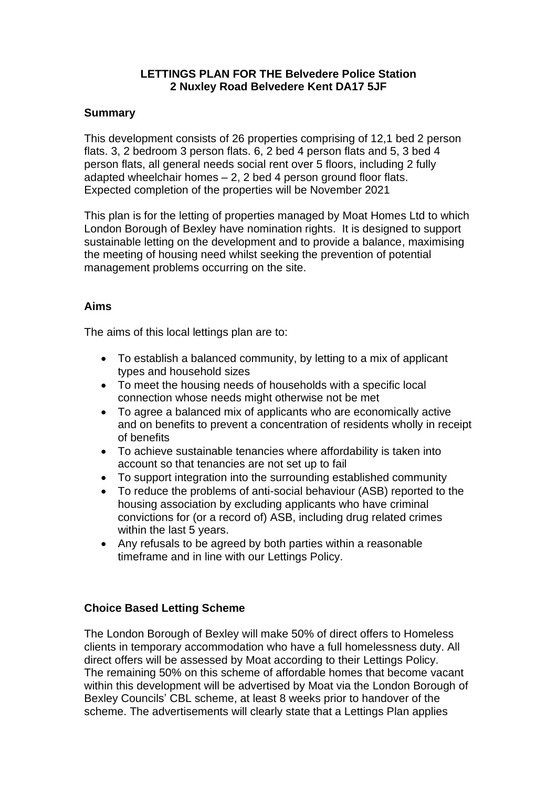## **LETTINGS PLAN FOR THE Belvedere Police Station 2 Nuxley Road Belvedere Kent DA17 5JF**

#### **Summary**

This development consists of 26 properties comprising of 12,1 bed 2 person flats. 3, 2 bedroom 3 person flats. 6, 2 bed 4 person flats and 5, 3 bed 4 person flats, all general needs social rent over 5 floors, including 2 fully adapted wheelchair homes – 2, 2 bed 4 person ground floor flats. Expected completion of the properties will be November 2021

This plan is for the letting of properties managed by Moat Homes Ltd to which London Borough of Bexley have nomination rights. It is designed to support sustainable letting on the development and to provide a balance, maximising the meeting of housing need whilst seeking the prevention of potential management problems occurring on the site.

## **Aims**

The aims of this local lettings plan are to:

- To establish a balanced community, by letting to a mix of applicant types and household sizes
- To meet the housing needs of households with a specific local connection whose needs might otherwise not be met
- To agree a balanced mix of applicants who are economically active and on benefits to prevent a concentration of residents wholly in receipt of benefits
- To achieve sustainable tenancies where affordability is taken into account so that tenancies are not set up to fail
- To support integration into the surrounding established community
- To reduce the problems of anti-social behaviour (ASB) reported to the housing association by excluding applicants who have criminal convictions for (or a record of) ASB, including drug related crimes within the last 5 years.
- Any refusals to be agreed by both parties within a reasonable timeframe and in line with our Lettings Policy.

#### **Choice Based Letting Scheme**

The London Borough of Bexley will make 50% of direct offers to Homeless clients in temporary accommodation who have a full homelessness duty. All direct offers will be assessed by Moat according to their Lettings Policy. The remaining 50% on this scheme of affordable homes that become vacant within this development will be advertised by Moat via the London Borough of Bexley Councils' CBL scheme, at least 8 weeks prior to handover of the scheme. The advertisements will clearly state that a Lettings Plan applies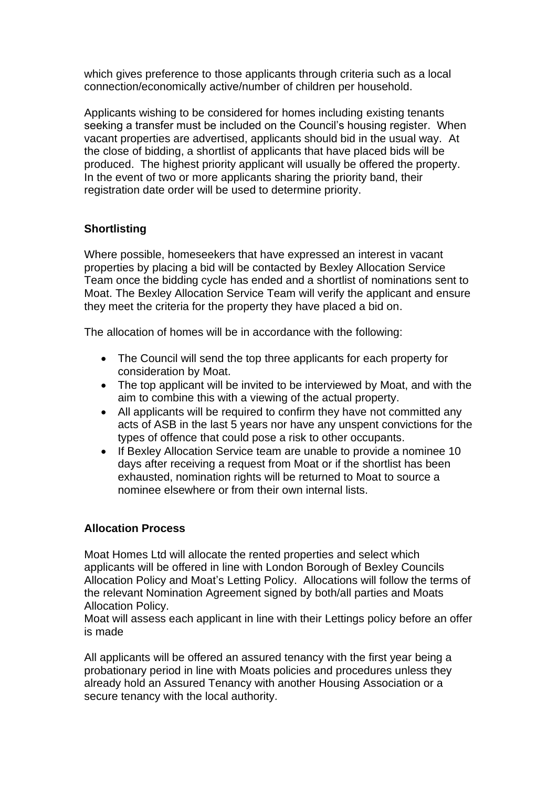which gives preference to those applicants through criteria such as a local connection/economically active/number of children per household.

Applicants wishing to be considered for homes including existing tenants seeking a transfer must be included on the Council's housing register. When vacant properties are advertised, applicants should bid in the usual way. At the close of bidding, a shortlist of applicants that have placed bids will be produced. The highest priority applicant will usually be offered the property. In the event of two or more applicants sharing the priority band, their registration date order will be used to determine priority.

# **Shortlisting**

Where possible, homeseekers that have expressed an interest in vacant properties by placing a bid will be contacted by Bexley Allocation Service Team once the bidding cycle has ended and a shortlist of nominations sent to Moat. The Bexley Allocation Service Team will verify the applicant and ensure they meet the criteria for the property they have placed a bid on.

The allocation of homes will be in accordance with the following:

- The Council will send the top three applicants for each property for consideration by Moat.
- The top applicant will be invited to be interviewed by Moat, and with the aim to combine this with a viewing of the actual property.
- All applicants will be required to confirm they have not committed any acts of ASB in the last 5 years nor have any unspent convictions for the types of offence that could pose a risk to other occupants.
- If Bexley Allocation Service team are unable to provide a nominee 10 days after receiving a request from Moat or if the shortlist has been exhausted, nomination rights will be returned to Moat to source a nominee elsewhere or from their own internal lists.

## **Allocation Process**

Moat Homes Ltd will allocate the rented properties and select which applicants will be offered in line with London Borough of Bexley Councils Allocation Policy and Moat's Letting Policy. Allocations will follow the terms of the relevant Nomination Agreement signed by both/all parties and Moats Allocation Policy.

Moat will assess each applicant in line with their Lettings policy before an offer is made

All applicants will be offered an assured tenancy with the first year being a probationary period in line with Moats policies and procedures unless they already hold an Assured Tenancy with another Housing Association or a secure tenancy with the local authority.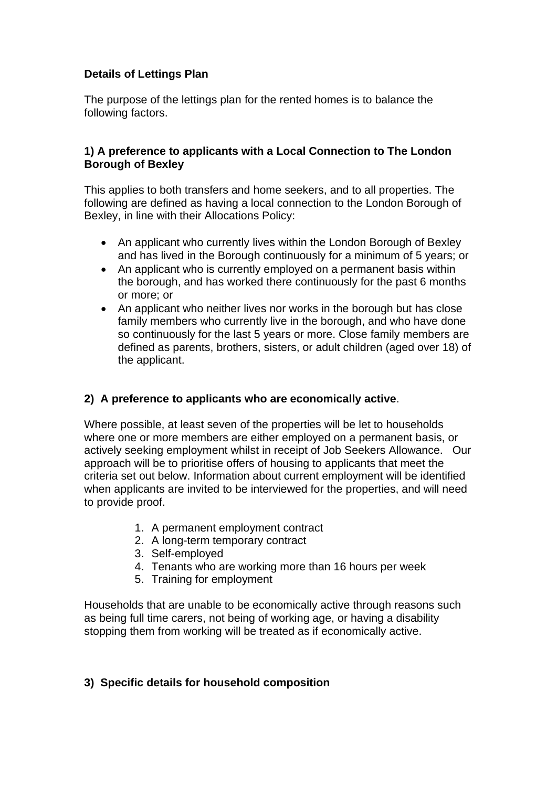## **Details of Lettings Plan**

The purpose of the lettings plan for the rented homes is to balance the following factors.

#### **1) A preference to applicants with a Local Connection to The London Borough of Bexley**

This applies to both transfers and home seekers, and to all properties. The following are defined as having a local connection to the London Borough of Bexley, in line with their Allocations Policy:

- An applicant who currently lives within the London Borough of Bexley and has lived in the Borough continuously for a minimum of 5 years; or
- An applicant who is currently employed on a permanent basis within the borough, and has worked there continuously for the past 6 months or more; or
- An applicant who neither lives nor works in the borough but has close family members who currently live in the borough, and who have done so continuously for the last 5 years or more. Close family members are defined as parents, brothers, sisters, or adult children (aged over 18) of the applicant.

## **2) A preference to applicants who are economically active**.

Where possible, at least seven of the properties will be let to households where one or more members are either employed on a permanent basis, or actively seeking employment whilst in receipt of Job Seekers Allowance. Our approach will be to prioritise offers of housing to applicants that meet the criteria set out below. Information about current employment will be identified when applicants are invited to be interviewed for the properties, and will need to provide proof.

- 1. A permanent employment contract
- 2. A long-term temporary contract
- 3. Self-employed
- 4. Tenants who are working more than 16 hours per week
- 5. Training for employment

Households that are unable to be economically active through reasons such as being full time carers, not being of working age, or having a disability stopping them from working will be treated as if economically active.

## **3) Specific details for household composition**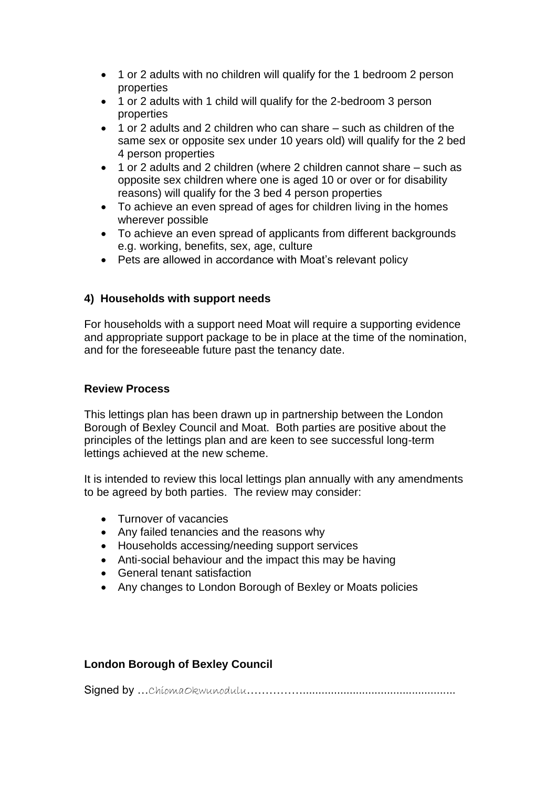- 1 or 2 adults with no children will qualify for the 1 bedroom 2 person properties
- 1 or 2 adults with 1 child will qualify for the 2-bedroom 3 person properties
- 1 or 2 adults and 2 children who can share such as children of the same sex or opposite sex under 10 years old) will qualify for the 2 bed 4 person properties
- 1 or 2 adults and 2 children (where 2 children cannot share such as opposite sex children where one is aged 10 or over or for disability reasons) will qualify for the 3 bed 4 person properties
- To achieve an even spread of ages for children living in the homes wherever possible
- To achieve an even spread of applicants from different backgrounds e.g. working, benefits, sex, age, culture
- Pets are allowed in accordance with Moat's relevant policy

# **4) Households with support needs**

For households with a support need Moat will require a supporting evidence and appropriate support package to be in place at the time of the nomination, and for the foreseeable future past the tenancy date.

## **Review Process**

This lettings plan has been drawn up in partnership between the London Borough of Bexley Council and Moat. Both parties are positive about the principles of the lettings plan and are keen to see successful long-term lettings achieved at the new scheme.

It is intended to review this local lettings plan annually with any amendments to be agreed by both parties. The review may consider:

- Turnover of vacancies
- Any failed tenancies and the reasons why
- Households accessing/needing support services
- Anti-social behaviour and the impact this may be having
- General tenant satisfaction
- Any changes to London Borough of Bexley or Moats policies

## **London Borough of Bexley Council**

Signed by ... ChiomaOkwunodulu……………………………………………………………………